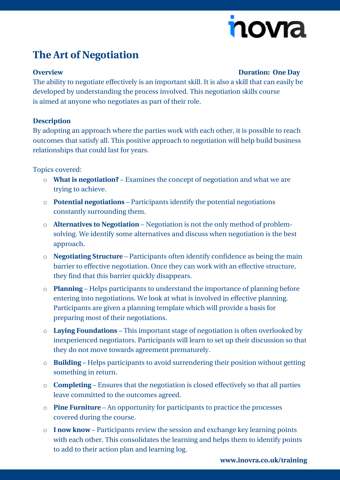# nova

## **The Art of Negotiation**

#### **Overview Duration: One Day**

The ability to negotiate effectively is an important skill. It is also a skill that can easily be developed by understanding the process involved. This negotiation skills course is aimed at anyone who negotiates as part of their role.

#### **Description**

By adopting an approach where the parties work with each other, it is possible to reach outcomes that satisfy all. This positive approach to negotiation will help build business relationships that could last for years.

Topics covered:

- o **What is negotiation?** Examines the concept of negotiation and what we are trying to achieve.
- o **Potential negotiations** Participants identify the potential negotiations constantly surrounding them.
- o **Alternatives to Negotiation** Negotiation is not the only method of problemsolving. We identify some alternatives and discuss when negotiation is the best approach.
- o **Negotiating Structure** Participants often identify confidence as being the main barrier to effective negotiation. Once they can work with an effective structure, they find that this barrier quickly disappears.
- o **Planning** Helps participants to understand the importance of planning before entering into negotiations. We look at what is involved in effective planning. Participants are given a planning template which will provide a basis for preparing most of their negotiations.
- o **Laying Foundations** This important stage of negotiation is often overlooked by inexperienced negotiators. Participants will learn to set up their discussion so that they do not move towards agreement prematurely.
- o **Building** Helps participants to avoid surrendering their position without getting something in return.
- o **Completing** Ensures that the negotiation is closed effectively so that all parties leave committed to the outcomes agreed.
- o **Pine Furniture** An opportunity for participants to practice the processes covered during the course.
- o **I now know** Participants review the session and exchange key learning points with each other. This consolidates the learning and helps them to identify points to add to their action plan and learning log.